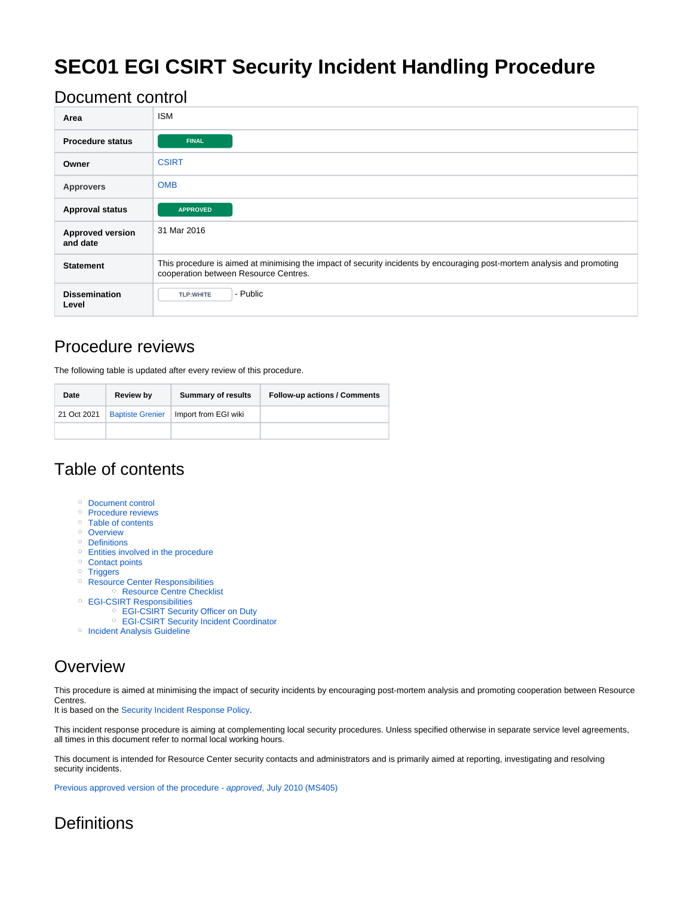# **SEC01 EGI CSIRT Security Incident Handling Procedure**

## <span id="page-0-0"></span>Document control

| Area                                | <b>ISM</b>                                                                                                                                                        |
|-------------------------------------|-------------------------------------------------------------------------------------------------------------------------------------------------------------------|
| <b>Procedure status</b>             | <b>FINAL</b>                                                                                                                                                      |
| Owner                               | <b>CSIRT</b>                                                                                                                                                      |
| <b>Approvers</b>                    | <b>OMB</b>                                                                                                                                                        |
| <b>Approval status</b>              | <b>APPROVED</b>                                                                                                                                                   |
| <b>Approved version</b><br>and date | 31 Mar 2016                                                                                                                                                       |
| <b>Statement</b>                    | This procedure is aimed at minimising the impact of security incidents by encouraging post-mortem analysis and promoting<br>cooperation between Resource Centres. |
| <b>Dissemination</b><br>Level       | - Public<br><b>TLP:WHITE</b>                                                                                                                                      |

# <span id="page-0-1"></span>Procedure reviews

The following table is updated after every review of this procedure.

| Date        | <b>Review by</b>        | <b>Summary of results</b> | <b>Follow-up actions / Comments</b> |
|-------------|-------------------------|---------------------------|-------------------------------------|
| 21 Oct 2021 | <b>Baptiste Grenier</b> | Import from EGI wiki      |                                     |
|             |                         |                           |                                     |

## <span id="page-0-2"></span>Table of contents

- <sup>o</sup> [Document control](#page-0-0)
- o [Procedure reviews](#page-0-1)
- <sup>o</sup> [Table of contents](#page-0-2)
- <sup>o</sup> [Overview](#page-0-3)
- <sup>o</sup> [Definitions](#page-0-4)
- <sup>o</sup> [Entities involved in the procedure](#page-1-0) <sup>o</sup> [Contact points](#page-1-1)
- <sup>o</sup> [Triggers](#page-1-2)
- <sup>o</sup> [Resource Center Responsibilities](#page-1-3)
- <sup>o</sup> [Resource Centre Checklist](#page-1-4)
- [EGI-CSIRT Responsibilities](#page-2-0)
	- [EGI-CSIRT Security Officer on Duty](#page-2-1)
	- [EGI-CSIRT Security Incident Coordinator](#page-2-2)
- <sup>o</sup> [Incident Analysis Guideline](#page-3-0)

# <span id="page-0-3"></span>**Overview**

This procedure is aimed at minimising the impact of security incidents by encouraging post-mortem analysis and promoting cooperation between Resource Centres.

It is based on the [Security Incident Response Policy.](https://documents.egi.eu/public/ShowDocument?docid=2935)

This incident response procedure is aiming at complementing local security procedures. Unless specified otherwise in separate service level agreements, all times in this document refer to normal local working hours.

This document is intended for Resource Center security contacts and administrators and is primarily aimed at reporting, investigating and resolving security incidents.

[Previous approved version of the procedure -](https://documents.egi.eu/public/ShowDocument?docid=710) approved, July 2010 (MS405)

# <span id="page-0-4"></span>**Definitions**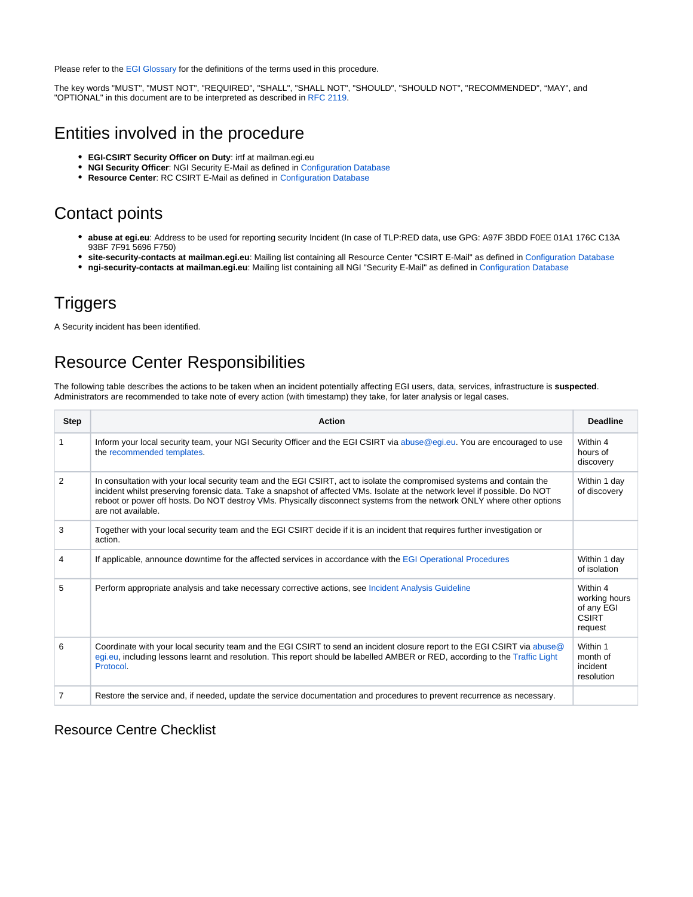Please refer to the [EGI Glossary](http://go.egi.eu/glossary) for the definitions of the terms used in this procedure.

The key words "MUST", "MUST NOT", "REQUIRED", "SHALL", "SHALL NOT", "SHOULD", "SHOULD NOT", "RECOMMENDED", "MAY", and "OPTIONAL" in this document are to be interpreted as described in [RFC 2119](http://tools.ietf.org/html/rfc2119).

## <span id="page-1-0"></span>Entities involved in the procedure

- **EGI-CSIRT Security Officer on Duty**: irtf at mailman.egi.eu
- $\bullet$ **NGI Security Officer**: NGI Security E-Mail as defined in [Configuration Database](https://docs.egi.eu/internal/configuration-database/)
- **Resource Center**: RC CSIRT E-Mail as defined in [Configuration Database](https://docs.egi.eu/internal/configuration-database/)

# <span id="page-1-1"></span>Contact points

- **abuse at egi.eu**: Address to be used for reporting security Incident (In case of TLP:RED data, use GPG: A97F 3BDD F0EE 01A1 176C C13A 93BF 7F91 5696 F750)
- **site-security-contacts at mailman.egi.eu**: Mailing list containing all Resource Center "CSIRT E-Mail" as defined in [Configuration Database](https://docs.egi.eu/internal/configuration-database/)
- **ngi-security-contacts at mailman.egi.eu**: Mailing list containing all NGI "Security E-Mail" as defined in [Configuration Database](https://docs.egi.eu/internal/configuration-database/)

# <span id="page-1-2"></span>**Triggers**

A Security incident has been identified.

# <span id="page-1-3"></span>Resource Center Responsibilities

The following table describes the actions to be taken when an incident potentially affecting EGI users, data, services, infrastructure is **suspected**. Administrators are recommended to take note of every action (with timestamp) they take, for later analysis or legal cases.

| <b>Step</b>    | <b>Action</b>                                                                                                                                                                                                                                                                                                                                                                                          | <b>Deadline</b>                                                    |
|----------------|--------------------------------------------------------------------------------------------------------------------------------------------------------------------------------------------------------------------------------------------------------------------------------------------------------------------------------------------------------------------------------------------------------|--------------------------------------------------------------------|
|                | Inform your local security team, your NGI Security Officer and the EGI CSIRT via abuse@egi.eu. You are encouraged to use<br>the recommended templates.                                                                                                                                                                                                                                                 | Within 4<br>hours of<br>discovery                                  |
| 2              | In consultation with your local security team and the EGI CSIRT, act to isolate the compromised systems and contain the<br>incident whilst preserving forensic data. Take a snapshot of affected VMs. Isolate at the network level if possible. Do NOT<br>reboot or power off hosts. Do NOT destroy VMs. Physically disconnect systems from the network ONLY where other options<br>are not available. | Within 1 day<br>of discovery                                       |
| 3              | Together with your local security team and the EGI CSIRT decide if it is an incident that requires further investigation or<br>action.                                                                                                                                                                                                                                                                 |                                                                    |
| 4              | If applicable, announce downtime for the affected services in accordance with the EGI Operational Procedures                                                                                                                                                                                                                                                                                           | Within 1 day<br>of isolation                                       |
| 5              | Perform appropriate analysis and take necessary corrective actions, see Incident Analysis Guideline                                                                                                                                                                                                                                                                                                    | Within 4<br>working hours<br>of any EGI<br><b>CSIRT</b><br>request |
| 6              | Coordinate with your local security team and the EGI CSIRT to send an incident closure report to the EGI CSIRT via abuse @<br>egi.eu, including lessons learnt and resolution. This report should be labelled AMBER or RED, according to the Traffic Light<br>Protocol.                                                                                                                                | Within 1<br>month of<br>incident<br>resolution                     |
| $\overline{7}$ | Restore the service and, if needed, update the service documentation and procedures to prevent recurrence as necessary.                                                                                                                                                                                                                                                                                |                                                                    |

#### <span id="page-1-4"></span>Resource Centre Checklist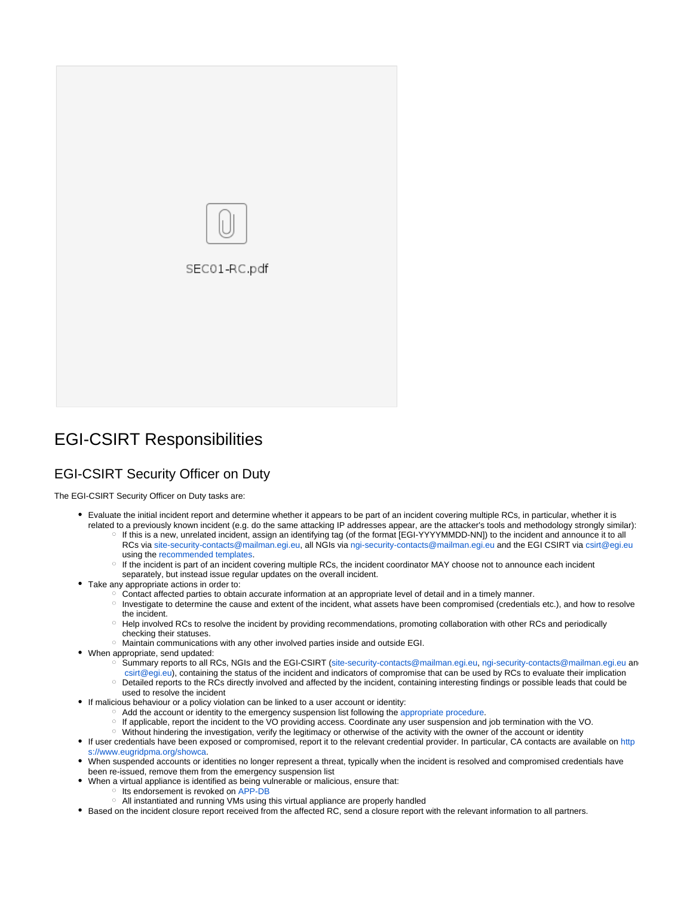

# <span id="page-2-0"></span>EGI-CSIRT Responsibilities

### <span id="page-2-1"></span>EGI-CSIRT Security Officer on Duty

The EGI-CSIRT Security Officer on Duty tasks are:

- Evaluate the initial incident report and determine whether it appears to be part of an incident covering multiple RCs, in particular, whether it is related to a previously known incident (e.g. do the same attacking IP addresses appear, are the attacker's tools and methodology strongly similar): © If this is a new, unrelated incident, assign an identifying tag (of the format [EGI-YYYYMMDD-NN]) to the incident and announce it to all RCs via [site-security-contacts@mailman.egi.eu](mailto:site-security-contacts@mailman.egi.eu), all NGIs via [ngi-security-contacts@mailman.egi.eu](mailto:ngi-security-contacts@mailman.egi.eu) and the EGI CSIRT via [csirt@egi.eu](mailto:csirt@egi.eu) using the [recommended templates](https://confluence.egi.eu/display/EGIBG/CSIRT+Incident+reporting).
	- If the incident is part of an incident covering multiple RCs, the incident coordinator MAY choose not to announce each incident separately, but instead issue regular updates on the overall incident.
- Take any appropriate actions in order to:
	- Contact affected parties to obtain accurate information at an appropriate level of detail and in a timely manner.
	- Investigate to determine the cause and extent of the incident, what assets have been compromised (credentials etc.), and how to resolve the incident.
	- Help involved RCs to resolve the incident by providing recommendations, promoting collaboration with other RCs and periodically checking their statuses.
	- Maintain communications with any other involved parties inside and outside EGI.
- When appropriate, send updated:
	- Summary reports to all RCs, NGIs and the EGI-CSIRT [\(site-security-contacts@mailman.egi.eu,](mailto:site-security-contacts@mailman.egi.eu) [ngi-security-contacts@mailman.egi.eu](mailto:ngi-security-contacts@mailman.egi.eu) and
	- [csirt@egi.eu\)](mailto:csirt@egi.eu), containing the status of the incident and indicators of compromise that can be used by RCs to evaluate their implication Detailed reports to the RCs directly involved and affected by the incident, containing interesting findings or possible leads that could be
	- used to resolve the incident
- If malicious behaviour or a policy violation can be linked to a user account or identity:
	- $\circ$  Add the account or identity to the emergency suspension list following the [appropriate procedure.](https://confluence.egi.eu/display/EGIPP/SEC04+EGI+CSIRT+Operational+Procedure+for+Compromised+Certificates+and+Central+Security+Emergency+suspension)
	- If applicable, report the incident to the VO providing access. Coordinate any user suspension and job termination with the VO.
	- Without hindering the investigation, verify the legitimacy or otherwise of the activity with the owner of the account or identity
- If user credentials have been exposed or compromised, report it to the relevant credential provider. In particular, CA contacts are available on [http](https://www.eugridpma.org/showca) [s://www.eugridpma.org/showca](https://www.eugridpma.org/showca).
- When suspended accounts or identities no longer represent a threat, typically when the incident is resolved and compromised credentials have been re-issued, remove them from the emergency suspension list
- When a virtual appliance is identified as being vulnerable or malicious, ensure that:
	- <sup>o</sup> Its endorsement is revoked on [APP-DB](https://appdb.egi.eu/)
	- All instantiated and running VMs using this virtual appliance are properly handled
- <span id="page-2-2"></span>Based on the incident closure report received from the affected RC, send a closure report with the relevant information to all partners.